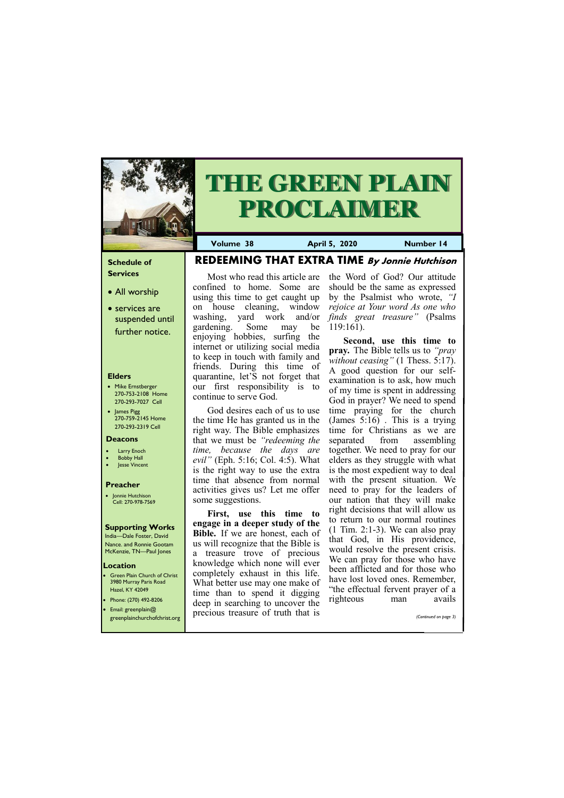#### **Schedule of Services**

- All worship
- services are suspended until further notice.

#### **Elders**

- Mike Ernstberger 270-753-2108 Home 270-293-7027 Cell
- James Pigg 270-759-2145 Home 270-293-2319 Cell

**Location** Green Plain Church of Christ 3980 Murray Paris Road Hazel, KY 42049 • Phone: (270) 492-8206



# **THE GREEN PLAIN PROCLAIMER**

**Volume 38 April 5, 2020 Number 14**

#### **Deacons**

- **Larry Enoch**
- **Bobby Hall**
- Jesse Vincent

#### **Preacher**

• Jonnie Hutchison Cell: 270-978-7569

### **Supporting Works** India—Dale Foster, David Nance. and Ronnie Gootam

McKenzie, TN—Paul Jones

**REDEEMING THAT EXTRA TIME By Jonnie Hutchison**

**First, use this time to engage in a deeper study of the Bible.** If we are honest, each of us will recognize that the Bible is a treasure trove of precious knowledge which none will ever completely exhaust in this life. What better use may one make of time than to spend it digging doon in soorching to uncover the

on house cleaning, window washing, yard work and/or *finds great treasure"* (Psalms gardening. Some may be enjoying hobbies, surfing the internet or utilizing social media to keep in touch with family and friends. During this time of quarantine, let'S not forget that our first responsibility is to continue to serve God.

God desires each of us to use the time He has granted us in the right way. The Bible emphasizes that we must be *"redeeming the time, because the days are evil"* (Eph. 5:16; Col. 4:5). What is the right way to use the extra time that absence from normal activities gives us? Let me offer some suggestions.

#### Most who read this article are confined to home. Some are using this time to get caught up the Word of God? Our attitude should be the same as expressed by the Psalmist who wrote, *"I*

| <b>•</b> Email: greenplain@<br>greenplainchurchofchrist.org | acco in scalenting to uncover the<br>precious treasure of truth that is | (Continued on page 3) |
|-------------------------------------------------------------|-------------------------------------------------------------------------|-----------------------|
|                                                             |                                                                         |                       |

*rejoice at Your word As one who*  119:161).

**Second, use this time to pray.** The Bible tells us to *"pray without ceasing"* (1 Thess. 5:17). A good question for our selfexamination is to ask, how much of my time is spent in addressing God in prayer? We need to spend time praying for the church (James 5:16) . This is a trying time for Christians as we are separated from assembling together. We need to pray for our elders as they struggle with what is the most expedient way to deal with the present situation. We need to pray for the leaders of our nation that they will make right decisions that will allow us to return to our normal routines  $(1$  Tim. 2:1-3). We can also pray that God, in His providence, would resolve the present crisis. We can pray for those who have been afflicted and for those who have lost loved ones. Remember, "the effectual fervent prayer of a righteous man avails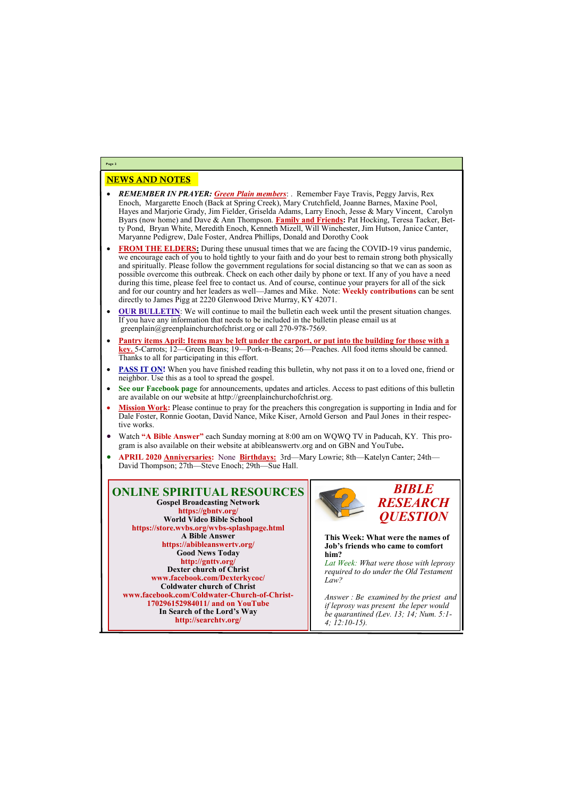## NEWS AND NOTES

- *REMEMBER IN PRAYER: Green Plain members*: . Remember Faye Travis, Peggy Jarvis, Rex Enoch, Margarette Enoch (Back at Spring Creek), Mary Crutchfield, Joanne Barnes, Maxine Pool, Hayes and Marjorie Grady, Jim Fielder, Griselda Adams, Larry Enoch, Jesse & Mary Vincent, Carolyn Byars (now home) and Dave & Ann Thompson. **Family and Friends:** Pat Hocking, Teresa Tacker, Betty Pond, Bryan White, Meredith Enoch, Kenneth Mizell, Will Winchester, Jim Hutson, Janice Canter, Maryanne Pedigrew, Dale Foster, Andrea Phillips, Donald and Dorothy Cook
- **FROM THE ELDERS:** During these unusual times that we are facing the COVID-19 virus pandemic, we encourage each of you to hold tightly to your faith and do your best to remain strong both physically and spiritually. Please follow the government regulations for social distancing so that we can as soon as possible overcome this outbreak. Check on each other daily by phone or text. If any of you have a need during this time, please feel free to contact us. And of course, continue your prayers for all of the sick and for our country and her leaders as well—James and Mike. Note: **Weekly contributions** can be sent directly to James Pigg at 2220 Glenwood Drive Murray, KY 42071.
- **OUR BULLETIN:** We will continue to mail the bulletin each week until the present situation changes. If you have any information that needs to be included in the bulletin please email us at greenplain@greenplainchurchofchrist.org or call 270-978-7569.
- **Pantry items April: Items may be left under the carport, or put into the building for those with a key.** 5-Carrots; 12—Green Beans; 19—Pork-n-Beans; 26—Peaches. All food items should be canned. Thanks to all for participating in this effort.
- **PASS IT ON!** When you have finished reading this bulletin, why not pass it on to a loved one, friend or neighbor. Use this as a tool to spread the gospel.
- **See our Facebook page** for announcements, updates and articles. Access to past editions of this bulletin are available on our website at http://greenplainchurchofchrist.org.
- **Mission Work:** Please continue to pray for the preachers this congregation is supporting in India and for Dale Foster, Ronnie Gootan, David Nance, Mike Kiser, Arnold Gerson and Paul Jones in their respective works.
- Watch **"A Bible Answer"** each Sunday morning at 8:00 am on WQWQ TV in Paducah, KY. This program is also available on their website at abibleanswertv.org and on GBN and YouTube**.**
- **APRIL 2020 Anniversaries:** None **Birthdays:** 3rd—Mary Lowrie; 8th—Katelyn Canter; 24th— David Thompson; 27th—Steve Enoch; 29th—Sue Hall.

**Page 2**

**ONLINE SPIRITUAL RESOURCES Gospel Broadcasting Network https://gbntv.org/ World Video Bible School https://store.wvbs.org/wvbs-splashpage.html A Bible Answer https://abibleanswertv.org/ Good News Today http://gnttv.org/ Dexter church of Christ www.facebook.com/Dexterkycoc/ Coldwater church of Christ www.facebook.com/Coldwater-Church-of-Christ-**



**170296152984011/ and on YouTube In Search of the Lord's Way http://searchtv.org/**



**This Week: What were the names of Job's friends who came to comfort him?** 

*Lat Week: What were those with leprosy required to do under the Old Testament Law?*

*Answer : Be examined by the priest and if leprosy was present the leper would be quarantined (Lev. 13; 14; Num. 5:1- 4; 12:10-15).*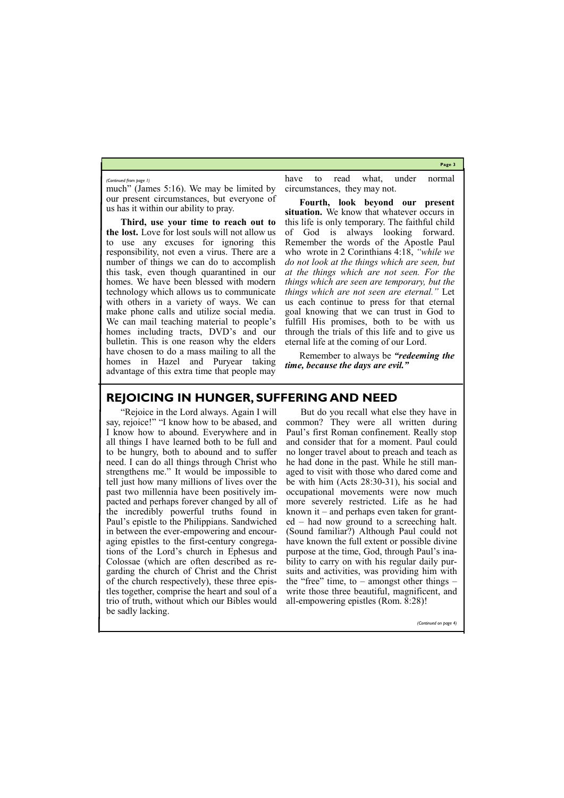**Page 3**

much" (James 5:16). We may be limited by our present circumstances, but everyone of us has it within our ability to pray.

**Third, use your time to reach out to the lost.** Love for lost souls will not allow us to use any excuses for ignoring this responsibility, not even a virus. There are a number of things we can do to accomplish this task, even though quarantined in our homes. We have been blessed with modern technology which allows us to communicate with others in a variety of ways. We can make phone calls and utilize social media. We can mail teaching material to people's homes including tracts, DVD's and our bulletin. This is one reason why the elders have chosen to do a mass mailing to all the homes in Hazel and Puryear taking advantage of this extra time that people may

have to read what, under normal circumstances, they may not.

**Fourth, look beyond our present situation.** We know that whatever occurs in this life is only temporary. The faithful child of God is always looking forward. Remember the words of the Apostle Paul who wrote in 2 Corinthians 4:18, *"while we do not look at the things which are seen, but at the things which are not seen. For the things which are seen are temporary, but the things which are not seen are eternal."* Let us each continue to press for that eternal goal knowing that we can trust in God to fulfill His promises, both to be with us through the trials of this life and to give us eternal life at the coming of our Lord.

Remember to always be *"redeeming the time, because the days are evil."*

*(Continued from page 1)*

## **REJOICING IN HUNGER, SUFFERING AND NEED**

"Rejoice in the Lord always. Again I will say, rejoice!" "I know how to be abased, and I know how to abound. Everywhere and in all things I have learned both to be full and to be hungry, both to abound and to suffer need. I can do all things through Christ who strengthens me." It would be impossible to tell just how many millions of lives over the past two millennia have been positively impacted and perhaps forever changed by all of the incredibly powerful truths found in Paul's epistle to the Philippians. Sandwiched in between the ever-empowering and encouraging epistles to the first-century congregations of the Lord's church in Ephesus and Colossae (which are often described as regarding the church of Christ and the Christ of the church respectively), these three epistles together, comprise the heart and soul of a trio of truth, without which our Bibles would be sadly lacking. all-empowering epistles (Rom. 8:28)! *(Continued on page 4)*

But do you recall what else they have in common? They were all written during Paul's first Roman confinement. Really stop and consider that for a moment. Paul could no longer travel about to preach and teach as he had done in the past. While he still managed to visit with those who dared come and be with him (Acts 28:30-31), his social and occupational movements were now much more severely restricted. Life as he had known it – and perhaps even taken for granted – had now ground to a screeching halt. (Sound familiar?) Although Paul could not have known the full extent or possible divine purpose at the time, God, through Paul's inability to carry on with his regular daily pursuits and activities, was providing him with the "free" time, to – amongst other things – write those three beautiful, magnificent, and